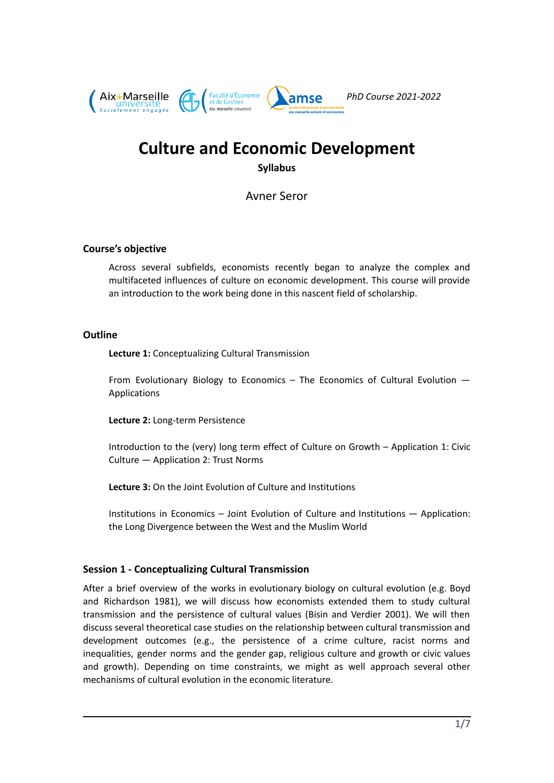

# **Culture and Economic Development Syllabus**

Avner Seror

#### **Course's objective**

Across several subfields, economists recently began to analyze the complex and multifaceted influences of culture on economic development. This course will provide an introduction to the work being done in this nascent field of scholarship.

#### **Outline**

**Lecture 1:** Conceptualizing Cultural Transmission

From Evolutionary Biology to Economics – The Economics of Cultural Evolution — Applications

**Lecture 2:** Long-term Persistence

Introduction to the (very) long term effect of Culture on Growth – Application 1: Civic Culture — Application 2: Trust Norms

**Lecture 3:** On the Joint Evolution of Culture and Institutions

Institutions in Economics – Joint Evolution of Culture and Institutions — Application: the Long Divergence between the West and the Muslim World

## **Session 1 - Conceptualizing Cultural Transmission**

After a brief overview of the works in evolutionary biology on cultural evolution (e.g. Boyd and Richardson 1981), we will discuss how economists extended them to study cultural transmission and the persistence of cultural values (Bisin and Verdier 2001). We will then discuss several theoretical case studies on the relationship between cultural transmission and development outcomes (e.g., the persistence of a crime culture, racist norms and inequalities, gender norms and the gender gap, religious culture and growth or civic values and growth). Depending on time constraints, we might as well approach several other mechanisms of cultural evolution in the economic literature.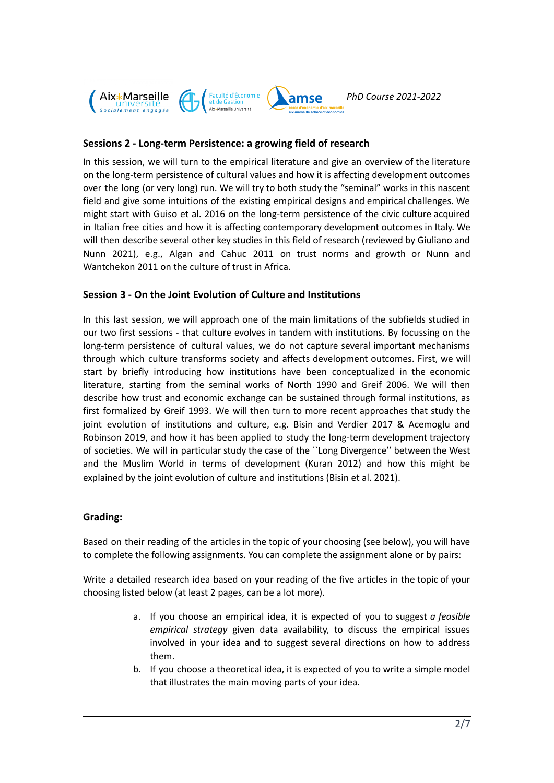

## **Sessions 2 - Long-term Persistence: a growing field of research**

In this session, we will turn to the empirical literature and give an overview of the literature on the long-term persistence of cultural values and how it is affecting development outcomes over the long (or very long) run. We will try to both study the "seminal" works in this nascent field and give some intuitions of the existing empirical designs and empirical challenges. We might start with Guiso et al. 2016 on the long-term persistence of the civic culture acquired in Italian free cities and how it is affecting contemporary development outcomes in Italy. We will then describe several other key studies in this field of research (reviewed by Giuliano and Nunn 2021), e.g., Algan and Cahuc 2011 on trust norms and growth or Nunn and Wantchekon 2011 on the culture of trust in Africa.

## **Session 3 - On the Joint Evolution of Culture and Institutions**

In this last session, we will approach one of the main limitations of the subfields studied in our two first sessions - that culture evolves in tandem with institutions. By focussing on the long-term persistence of cultural values, we do not capture several important mechanisms through which culture transforms society and affects development outcomes. First, we will start by briefly introducing how institutions have been conceptualized in the economic literature, starting from the seminal works of North 1990 and Greif 2006. We will then describe how trust and economic exchange can be sustained through formal institutions, as first formalized by Greif 1993. We will then turn to more recent approaches that study the joint evolution of institutions and culture, e.g. Bisin and Verdier 2017 & Acemoglu and Robinson 2019, and how it has been applied to study the long-term development trajectory of societies. We will in particular study the case of the ``Long Divergence'' between the West and the Muslim World in terms of development (Kuran 2012) and how this might be explained by the joint evolution of culture and institutions (Bisin et al. 2021).

## **Grading:**

Based on their reading of the articles in the topic of your choosing (see below), you will have to complete the following assignments. You can complete the assignment alone or by pairs:

Write a detailed research idea based on your reading of the five articles in the topic of your choosing listed below (at least 2 pages, can be a lot more).

- a. If you choose an empirical idea, it is expected of you to suggest *a feasible empirical strategy* given data availability, to discuss the empirical issues involved in your idea and to suggest several directions on how to address them.
- b. If you choose a theoretical idea, it is expected of you to write a simple model that illustrates the main moving parts of your idea.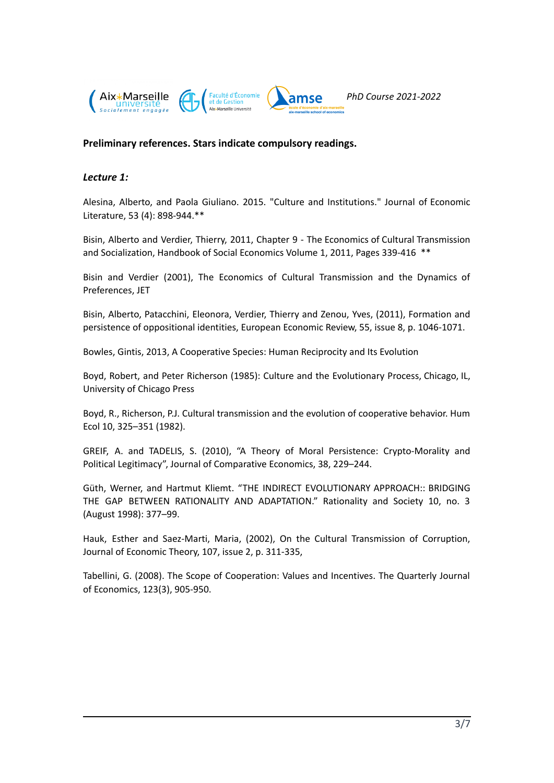

# **Preliminary references. Stars indicate compulsory readings.**

## *Lecture 1:*

Alesina, Alberto, and Paola Giuliano. 2015. "Culture and Institutions." Journal of Economic Literature, 53 (4): 898-944.\*\*

Bisin, Alberto and Verdier, Thierry, 2011, Chapter 9 - The Economics of Cultural Transmission and Socialization, Handbook of Social [Economics](https://www.sciencedirect.com/science/journal/15706435) [Volume](https://www.sciencedirect.com/science/journal/15706435/1/supp/C) 1, 2011, Pages 339-416 \*\*

Bisin and Verdier (2001), The Economics of Cultural Transmission and the Dynamics of Preferences, JET

Bisin, Alberto, Patacchini, Eleonora, Verdier, Thierry and Zenou, Yves, (2011), [Formation](https://econpapers.repec.org/RePEc:eee:eecrev:v:55:y:2011:i:8:p:1046-1071) and persistence of [oppositional](https://econpapers.repec.org/RePEc:eee:eecrev:v:55:y:2011:i:8:p:1046-1071) identities, European Economic Review, 55, issue 8, p. 1046-1071.

Bowles, Gintis, 2013, A Cooperative Species: Human Reciprocity and Its Evolution

Boyd, Robert, and Peter Richerson (1985): Culture and the Evolutionary Process, Chicago, IL, University of Chicago Press

Boyd, R., Richerson, P.J. Cultural transmission and the evolution of cooperative behavior. Hum Ecol 10, 325–351 (1982).

GREIF, A. and TADELIS, S. (2010), "A Theory of Moral Persistence: Crypto-Morality and Political Legitimacy", Journal of Comparative Economics, 38, 229–244.

Güth, Werner, and Hartmut Kliemt. "THE INDIRECT EVOLUTIONARY APPROACH:: BRIDGING THE GAP BETWEEN RATIONALITY AND ADAPTATION." Rationality and Society 10, no. 3 (August 1998): 377–99.

Hauk, Esther and Saez-Marti, Maria, (2002), On the Cultural Transmission of Corruption, Journal of Economic Theory, 107, issue 2, p. 311-335,

Tabellini, G. (2008). The Scope of Cooperation: Values and Incentives. The Quarterly Journal of Economics, 123(3), 905-950.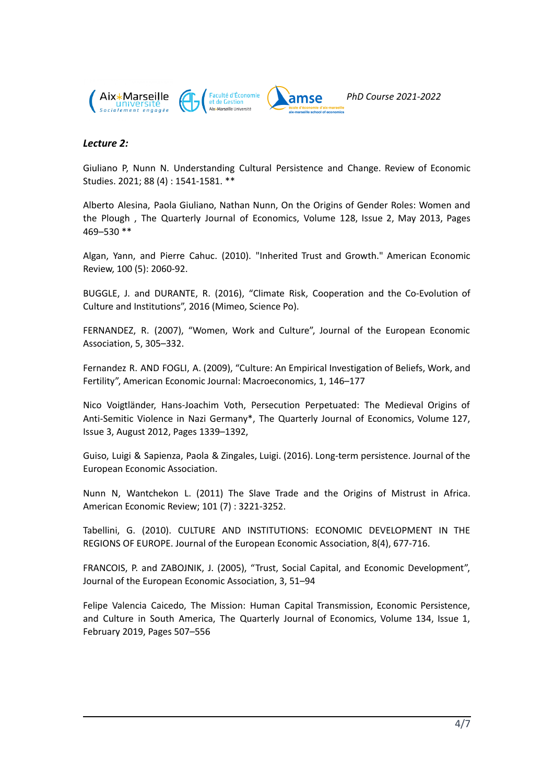

## *Lecture 2:*

Giuliano P, Nunn N. [Understanding](https://scholar.harvard.edu/nunn/publications/understanding-cultural-persistence-and-change) Cultural Persistence and Change. Review of Economic Studies. 2021; 88 (4) : 1541-1581. \*\*

Alberto Alesina, Paola Giuliano, Nathan Nunn, On the Origins of Gender Roles: Women and the Plough , The Quarterly Journal of Economics, Volume 128, Issue 2, May 2013, Pages 469–530 \*\*

Algan, Yann, and Pierre Cahuc. (2010). "Inherited Trust and Growth." American Economic Review, 100 (5): 2060-92.

BUGGLE, J. and DURANTE, R. (2016), "Climate Risk, Cooperation and the Co-Evolution of Culture and Institutions", 2016 (Mimeo, Science Po).

FERNANDEZ, R. (2007), "Women, Work and Culture", Journal of the European Economic Association, 5, 305–332.

Fernandez R. AND FOGLI, A. (2009), "Culture: An Empirical Investigation of Beliefs, Work, and Fertility", American Economic Journal: Macroeconomics, 1, 146–177

Nico Voigtländer, Hans-Joachim Voth, Persecution Perpetuated: The Medieval Origins of Anti-Semitic Violence in Nazi Germany\*, The Quarterly Journal of Economics, Volume 127, Issue 3, August 2012, Pages 1339–1392,

Guiso, Luigi & Sapienza, Paola & Zingales, Luigi. (2016). Long-term persistence. Journal of the European Economic Association.

Nunn N, Wantchekon L. (2011) The Slave Trade and the Origins of Mistrust in Africa. American Economic Review; 101 (7) : 3221-3252.

Tabellini, G. (2010). CULTURE AND INSTITUTIONS: ECONOMIC DEVELOPMENT IN THE REGIONS OF EUROPE. Journal of the European Economic Association, 8(4), 677-716.

FRANCOIS, P. and ZABOJNIK, J. (2005), "Trust, Social Capital, and Economic Development", Journal of the European Economic Association, 3, 51–94

Felipe Valencia Caicedo, The Mission: Human Capital Transmission, Economic Persistence, and Culture in South America, The Quarterly Journal of Economics, Volume 134, Issue 1, February 2019, Pages 507–556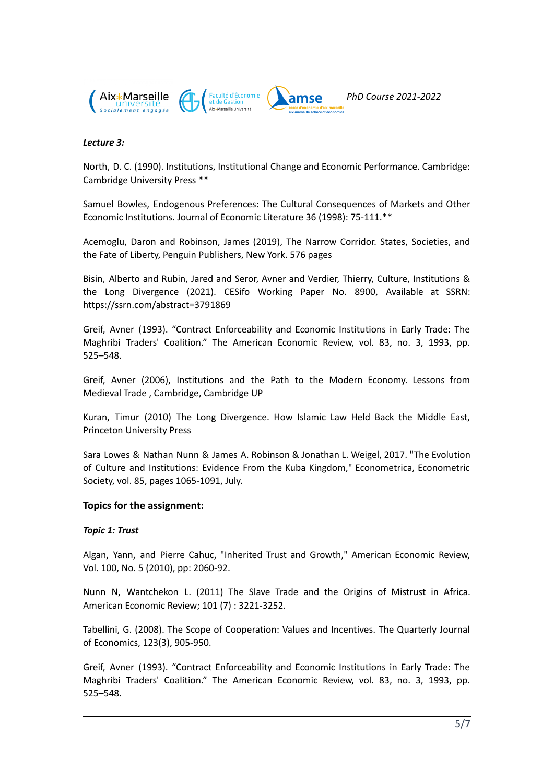

#### *Lecture 3:*

North, D. C. (1990). Institutions, Institutional Change and Economic Performance. Cambridge: Cambridge University Press \*\*

Samuel Bowles, Endogenous Preferences: The Cultural [Consequences](http://tuvalu.santafe.edu/~bowles/1998JEL.pdf) of Markets and Other Economic [Institutions](http://tuvalu.santafe.edu/~bowles/1998JEL.pdf). Journal of Economic Literature 36 (1998): 75-111.\*\*

Acemoglu, Daron and Robinson, James (2019), The Narrow Corridor. States, Societies, and the Fate of Liberty, Penguin Publishers, New York. 576 pages

Bisin, Alberto and Rubin, Jared and Seror, Avner and Verdier, Thierry, Culture, Institutions & the Long Divergence (2021). CESifo Working Paper No. 8900, Available at SSRN: https://ssrn.com/abstract=3791869

Greif, Avner (1993). "Contract Enforceability and Economic Institutions in Early Trade: The Maghribi Traders' Coalition." The American Economic Review, vol. 83, no. 3, 1993, pp. 525–548.

Greif, Avner (2006), Institutions and the Path to the Modern Economy. Lessons from Medieval Trade , Cambridge, Cambridge UP

Kuran, Timur (2010) The Long Divergence. How Islamic Law Held Back the Middle East, Princeton University Press

Sara Lowes & Nathan Nunn & James A. Robinson & Jonathan L. Weigel, 2017. "The [Evolution](https://ideas.repec.org/a/wly/emetrp/v85y2017ip1065-1091.html) of Culture and [Institutions:](https://ideas.repec.org/a/wly/emetrp/v85y2017ip1065-1091.html) Evidence From the Kuba Kingdom," [Econometrica,](https://ideas.repec.org/s/wly/emetrp.html) Econometric Society, vol. 85, pages 1065-1091, July.

#### **Topics for the assignment:**

#### *Topic 1: Trust*

Algan, Yann, and Pierre Cahuc, "Inherited Trust and Growth," American Economic Review, Vol. 100, No. 5 (2010), pp: 2060-92.

Nunn N, Wantchekon L. (2011) The Slave Trade and the Origins of Mistrust in Africa. American Economic Review; 101 (7) : 3221-3252.

Tabellini, G. (2008). The Scope of Cooperation: Values and Incentives. The Quarterly Journal of Economics, 123(3), 905-950.

Greif, Avner (1993). "Contract Enforceability and Economic Institutions in Early Trade: The Maghribi Traders' Coalition." The American Economic Review, vol. 83, no. 3, 1993, pp. 525–548.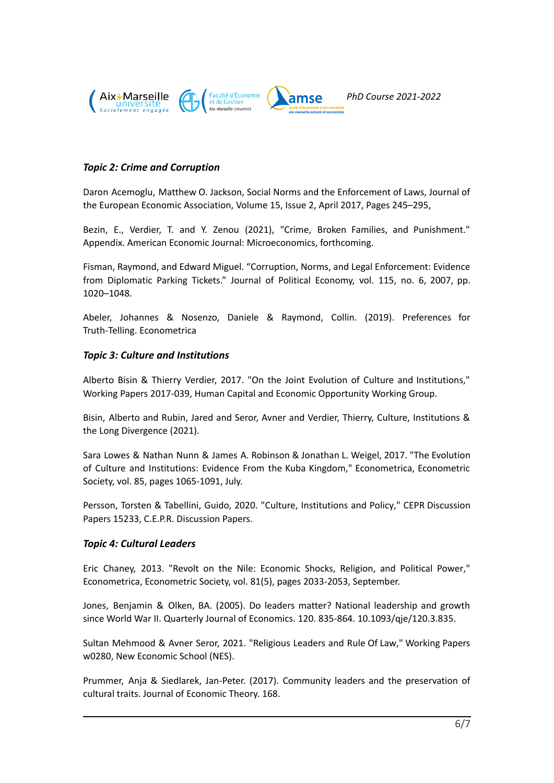

## *Topic 2: Crime and Corruption*

Daron Acemoglu, Matthew O. Jackson, Social Norms and the Enforcement of Laws, Journal of the European Economic Association, Volume 15, Issue 2, April 2017, Pages 245–295,

Bezin, E., Verdier, T. and Y. Zenou (2021), "Crime, Broken Families, and [Punishment](https://www.dropbox.com/s/1vf2sevwjonuzu2/MAIN_crimesocialization_25_03_2021.pdf?dl=0)." [Appendix.](https://www.dropbox.com/s/48wciwag3jc9tdr/ONLINE%20APPENDIX_crimesocialization_25_03_2021.pdf?dl=0) American Economic Journal: Microeconomics, forthcoming.

Fisman, Raymond, and Edward Miguel. "Corruption, Norms, and Legal Enforcement: Evidence from Diplomatic Parking Tickets." Journal of Political Economy, vol. 115, no. 6, 2007, pp. 1020–1048.

Abeler, Johannes & Nosenzo, Daniele & Raymond, Collin. (2019). Preferences for Truth-Telling. Econometrica

#### *Topic 3: Culture and Institutions*

Alberto Bisin & Thierry Verdier, 2017. "On the Joint Evolution of Culture and [Institutions](https://ideas.repec.org/p/hka/wpaper/2017-039.html)," [Working](https://ideas.repec.org/s/hka/wpaper.html) Papers 2017-039, Human Capital and Economic Opportunity Working Group.

Bisin, Alberto and Rubin, Jared and Seror, Avner and Verdier, Thierry, Culture, Institutions & the Long Divergence (2021).

Sara Lowes & Nathan Nunn & James A. Robinson & Jonathan L. Weigel, 2017. "The [Evolution](https://ideas.repec.org/a/wly/emetrp/v85y2017ip1065-1091.html) of Culture and [Institutions:](https://ideas.repec.org/a/wly/emetrp/v85y2017ip1065-1091.html) Evidence From the Kuba Kingdom," [Econometrica,](https://ideas.repec.org/s/wly/emetrp.html) Econometric Society, vol. 85, pages 1065-1091, July.

Persson, Torsten & Tabellini, Guido, 2020. "Culture, [Institutions](https://ideas.repec.org/p/cpr/ceprdp/15233.html) and Policy," CEPR [Discussion](https://ideas.repec.org/s/cpr/ceprdp.html) [Papers](https://ideas.repec.org/s/cpr/ceprdp.html) 15233, C.E.P.R. Discussion Papers.

#### *Topic 4: Cultural Leaders*

Eric Chaney, 2013. "Revolt on the Nile: [Economic](https://ideas.repec.org/a/ecm/emetrp/v81y2013i5p2033-2053.html) Shocks, Religion, and Political Power," [Econometrica,](https://ideas.repec.org/s/ecm/emetrp.html) Econometric Society, vol. 81(5), pages 2033-2053, September.

Jones, Benjamin & Olken, BA. (2005). Do leaders matter? National leadership and growth since World War II. Quarterly Journal of Economics. 120. 835-864. 10.1093/qje/120.3.835.

Sultan Mehmood & Avner Seror, 2021. ["Religious](https://ideas.repec.org/p/abo/neswpt/w0280.html) Leaders and Rule Of Law," [Working](https://ideas.repec.org/s/abo/neswpt.html) Papers w0280, New Economic School (NES).

Prummer, Anja & Siedlarek, Jan-Peter. (2017). Community leaders and the preservation of cultural traits. Journal of Economic Theory. 168.